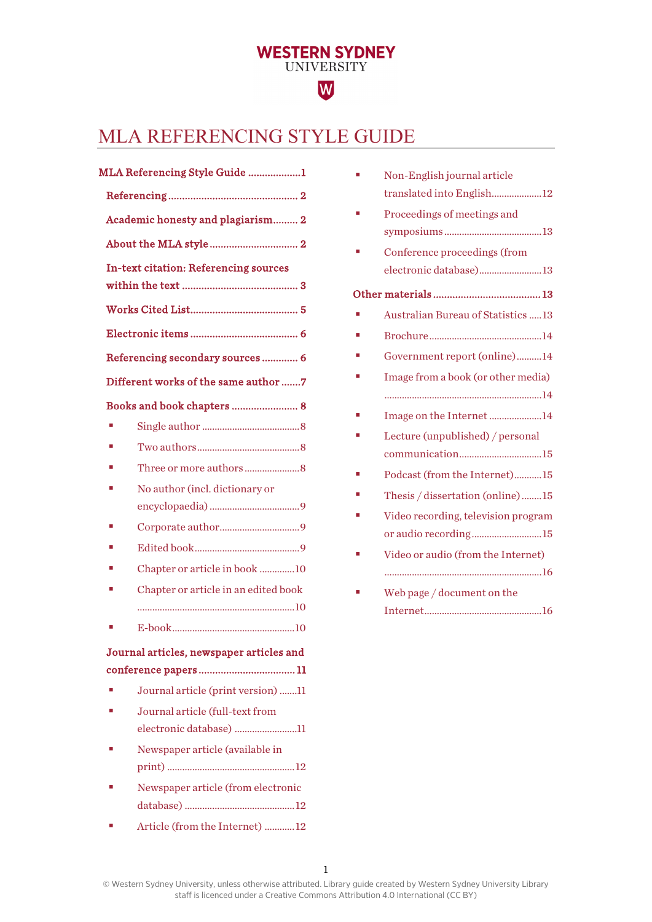# <span id="page-0-0"></span>MLA REFERENCING STYLE GUIDE

**WESTERN SYDNEY**<br>UNIVERSITY

W

| MLA Referencing Style Guide 1 |                                              |  |
|-------------------------------|----------------------------------------------|--|
|                               |                                              |  |
|                               | Academic honesty and plagiarism 2            |  |
|                               |                                              |  |
|                               | <b>In-text citation: Referencing sources</b> |  |
|                               |                                              |  |
|                               |                                              |  |
|                               | Referencing secondary sources 6              |  |
|                               | Different works of the same author 7         |  |
|                               | Books and book chapters  8                   |  |
| ×                             |                                              |  |
|                               |                                              |  |
|                               |                                              |  |
| п                             | No author (incl. dictionary or               |  |
|                               |                                              |  |
| п                             |                                              |  |
|                               |                                              |  |
|                               | Chapter or article in book 10                |  |
|                               | Chapter or article in an edited book         |  |
|                               |                                              |  |
|                               |                                              |  |
|                               | Journal articles, newspaper articles and     |  |
|                               |                                              |  |
|                               | Journal article (print version) 11           |  |
|                               | Journal article (full-text from              |  |
|                               | electronic database) 11                      |  |
|                               | Newspaper article (available in              |  |
|                               |                                              |  |
|                               | Newspaper article (from electronic           |  |
|                               |                                              |  |
|                               | Article (from the Internet) 12               |  |

| Non-English journal article               |
|-------------------------------------------|
| translated into English12                 |
| Proceedings of meetings and               |
|                                           |
| Conference proceedings (from              |
| electronic database)13                    |
|                                           |
| <b>Australian Bureau of Statistics 13</b> |
|                                           |
| Government report (online)14              |
| Image from a book (or other media)        |
|                                           |
| Image on the Internet 14                  |
| Lecture (unpublished) / personal          |
| communication15                           |
| Podcast (from the Internet)15             |
| Thesis / dissertation (online)15          |
| Video recording, television program       |
| or audio recording15                      |
| Video or audio (from the Internet)        |
|                                           |
| Web page / document on the                |
|                                           |
|                                           |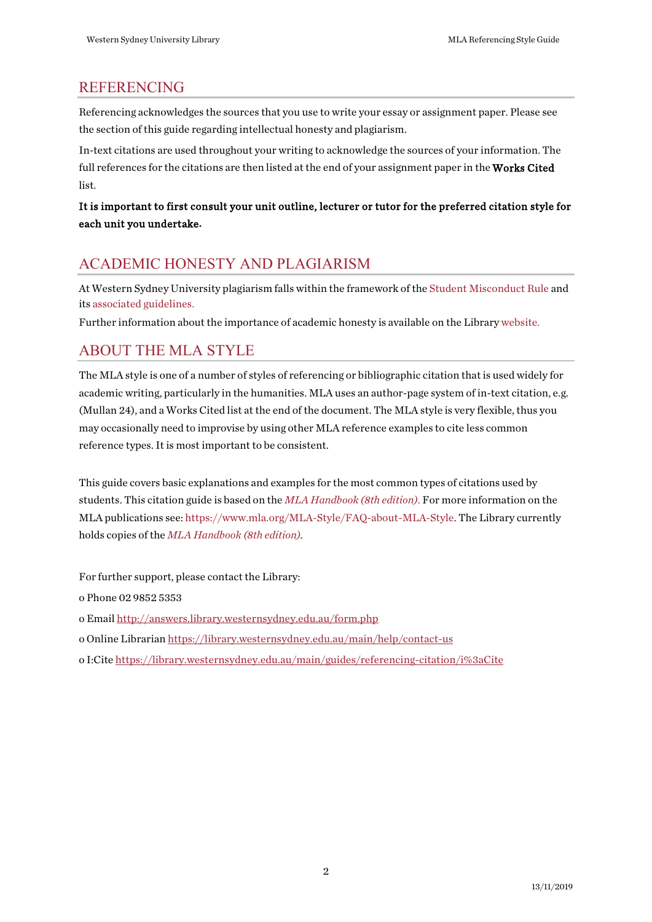# <span id="page-1-0"></span>REFERENCING

Referencing acknowledges the sources that you use to write your essay or assignment paper. Please see the section ofthis guide regarding intellectual honesty and plagiarism.

In-text citations are used throughout your writing to acknowledge the sources of your information. The full references for the citations are then listed at the end of your assignment paper in the Works Cited list.

#### It is important to first consult your unit outline, lecturer or tutor for the preferred citation style for each unit you undertake**.**

# <span id="page-1-1"></span>ACADEMIC HONESTY AND PLAGIARISM

At Western Sydney University plagiarism falls within the framework of th[e Student Misconduct Rule](https://policies.westernsydney.edu.au/document/view.current.php?id=304) and it[s associated](https://policies.westernsydney.edu.au/document/associated-information.php?id=304) guidelines.

Further information about the importance of academic honesty is available on the Library [website.](http://library.westernsydney.edu.au/main/guides/turnitin/academic-honesty)

# <span id="page-1-2"></span>ABOUT THE MLA STYLE

The MLA style is one of a number of styles of referencing or bibliographic citation thatis used widely for academic writing, particularly in the humanities. MLA uses an author-page system of in-text citation, e.g. (Mullan 24), and a Works Cited list at the end of the document. The MLA style is very flexible, thus you may occasionally need to improvise by using other MLA reference examples to cite less common reference types. It is most important to be consistent.

This guide covers basic explanations and examples for the most common types of citations used by students. This citation guide is based on the *[MLA Handbook \(8th edition\)](http://west-sydney-primo.hosted.exlibrisgroup.com/UWS-ALMA:default_scope:UWS-ALMA21186157620001571)*. For more information on the MLA publications see: [https://www.mla.org/MLA-Style/FAQ-about-MLA-Style.](https://www.mla.org/MLA-Style/FAQ-about-MLA-Style) The Library currently holds copies of the *[MLA Handbook](https://west-sydney-primo.hosted.exlibrisgroup.com/primo-explore/fulldisplay?docid=UWS-ALMA21186157620001571&context=L&vid=UWS-ALMA&search_scope=default_scope&tab=default_tab&lang=en_UShttp://west-sydney-primo.hosted.exlibrisgroup.com/UWS-ALMA:default_scope:UWS-ALMA21186157620001571) (8th edition).*

For further support, please contact the Library:

o Phone 02 9852 5353

[o Email](http://answers.library.westernsydney.edu.au/form.php) <http://answers.library.westernsydney.edu.au/form.php>

- [o Online Librarian](http://library.westernsydney.edu.au/main/help/contact-us) <https://library.westernsydney.edu.au/main/help/contact-us>
- o I:Cit[e https://library.westernsydney.edu.au/main/guides/referencing-citation/i%3aCite](https://library.westernsydney.edu.au/main/guides/referencing-citation/i%3aCite)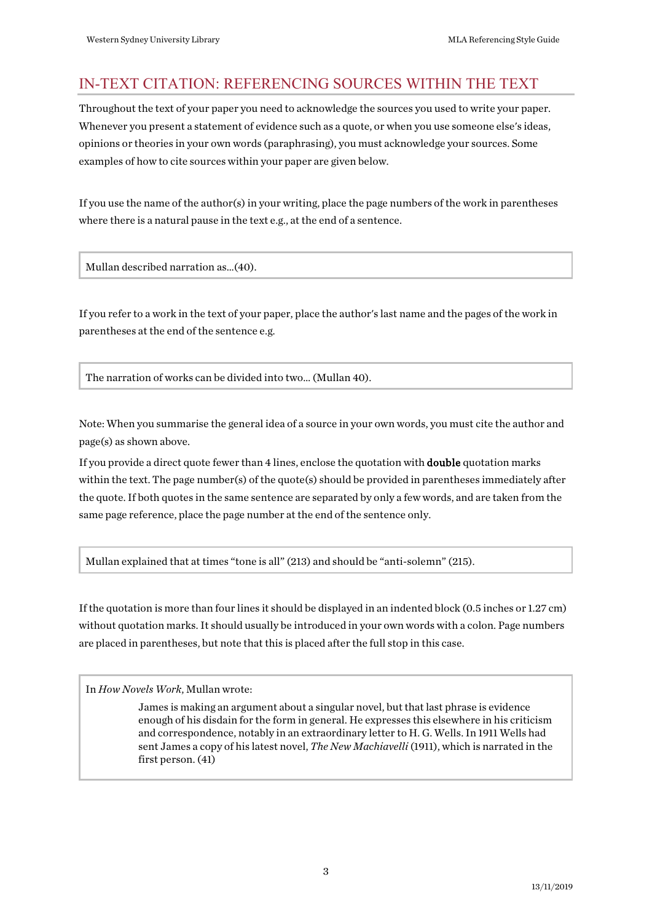# <span id="page-2-0"></span>IN-TEXT CITATION: REFERENCING SOURCES WITHIN THE TEXT

Throughout the text of your paper you need to acknowledge the sources you used to write your paper. Whenever you present a statement of evidence such as a quote, or when you use someone else's ideas, opinions or theories in your own words (paraphrasing), you must acknowledge your sources. Some examples of how to cite sources within your paper are given below.

If you use the name of the author(s) in your writing, place the page numbers of the work in parentheses where there is a natural pause in the text e.g., at the end of a sentence.

Mullan described narration as…(40).

If you refer to a work in the text of your paper, place the author's last name and the pages of the work in parentheses at the end of the sentence e.g.

The narration of works can be divided into two… (Mullan 40).

Note: When you summarise the general idea of a source in your own words, you must cite the author and page(s) as shown above.

If you provide a direct quote fewer than 4 lines, enclose the quotation with double quotation marks within the text. The page number(s) of the quote(s) should be provided in parentheses immediately after the quote. If both quotes in the same sentence are separated by only a few words, and are taken from the same page reference, place the page number at the end of the sentence only.

Mullan explained that at times "tone is all" (213) and should be "anti-solemn" (215).

If the quotation is more than four lines it should be displayed in an indented block (0.5 inches or 1.27 cm) without quotation marks. It should usually be introduced in your own words with a colon. Page numbers are placed in parentheses, but note that this is placed after the full stop in this case.

In *How Novels Work*, Mullan wrote:

James is making an argument about a singular novel, but that last phrase is evidence enough of his disdain for the form in general. He expresses this elsewhere in his criticism and correspondence, notably in an extraordinary letter to H. G. Wells. In 1911 Wells had sent James a copy of his latest novel, *The New Machiavelli* (1911), which is narrated in the first person. (41)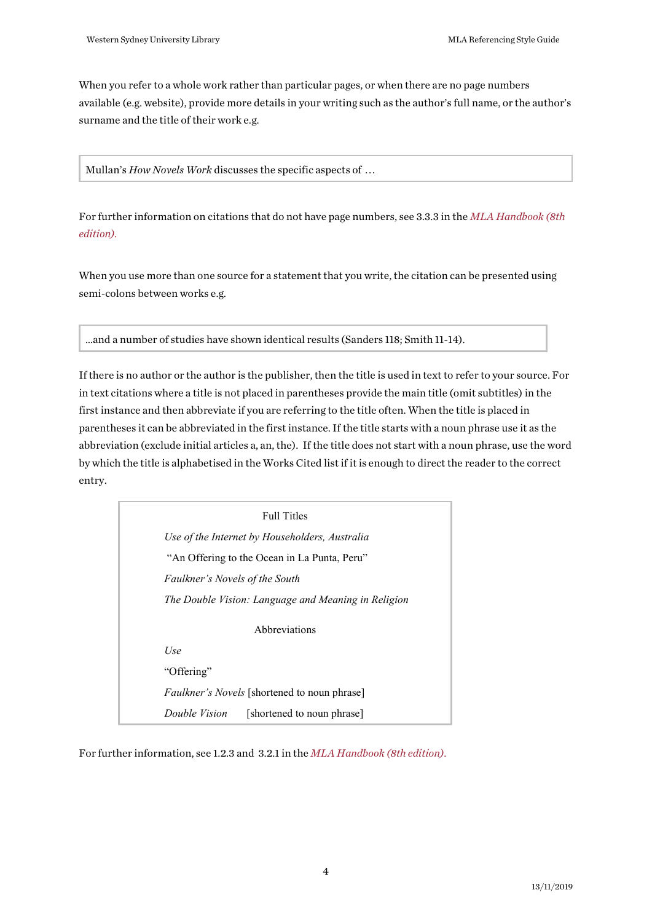When you refer to a whole work rather than particular pages, or when there are no page numbers available (e.g. website), provide more details in your writing such as the author's full name, or the author's surname and the title of their work e.g.

Mullan's *How Novels Work* discusses the specific aspects of …

For further information on citations that do not have page numbers, see 3.3.3 in the *[MLA Handbook \(8th](https://west-sydney-primo.hosted.exlibrisgroup.com/primo-explore/fulldisplay?docid=UWS-ALMA21186157620001571&context=L&vid=UWS-ALMA&search_scope=default_scope&tab=default_tab&lang=en_US)  [edition\).](https://west-sydney-primo.hosted.exlibrisgroup.com/primo-explore/fulldisplay?docid=UWS-ALMA21186157620001571&context=L&vid=UWS-ALMA&search_scope=default_scope&tab=default_tab&lang=en_US)* 

When you use more than one source for a statement that you write, the citation can be presented using semi-colons between works e.g.

…and a number of studies have shown identical results (Sanders 118; Smith 11-14).

If there is no author or the author is the publisher, then the title is used in text to refer to your source. For in text citations where a title is not placed in parentheses provide the main title (omit subtitles) in the first instance and then abbreviate if you are referring to the title often. When the title is placed in parentheses it can be abbreviated in the first instance. If the title starts with a noun phrase use it as the abbreviation (exclude initial articles a, an, the). If the title does not start with a noun phrase, use the word by which the title is alphabetised in the Works Cited list if it is enough to direct the reader to the correct entry.

Full Titles *Use of the Internet by Householders, Australia* "An Offering to the Ocean in La Punta, Peru" *Faulkner's Novels of the South The Double Vision: Language and Meaning in Religion* Abbreviations *Use* "Offering" *Faulkner's Novels* [shortened to noun phrase] *Double Vision* [shortened to noun phrase]

For further information, see 1.2.3 and 3.2.1 in the *[MLA Handbook \(8th edition\)](https://west-sydney-primo.hosted.exlibrisgroup.com/primo-explore/fulldisplay?docid=UWS-ALMA21186157620001571&context=L&vid=UWS-ALMA&search_scope=default_scope&tab=default_tab&lang=en_US)*.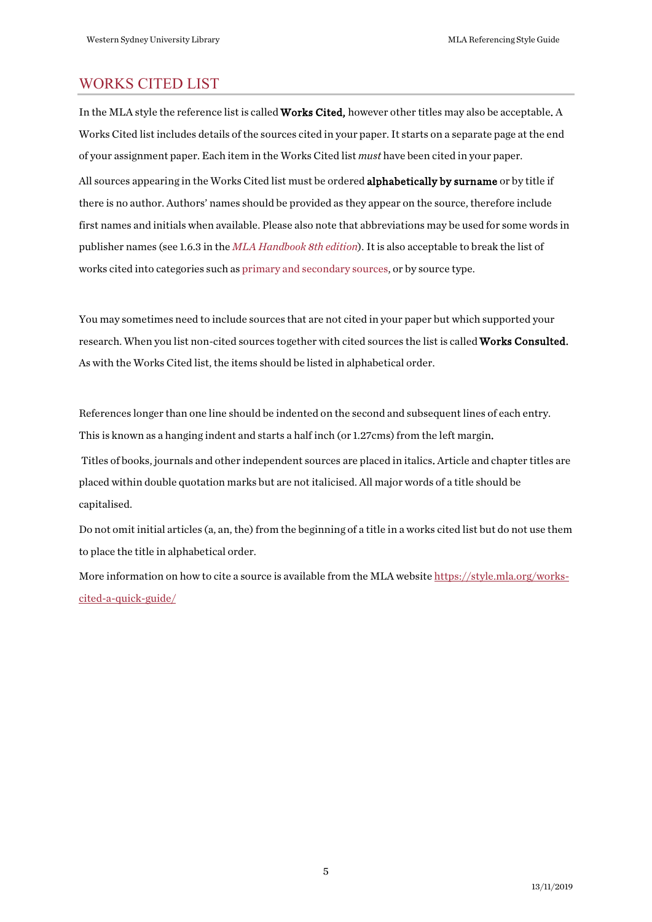# <span id="page-4-0"></span>WORKS CITED LIST

In the MLA style the reference list is called Works Cited, however other titles may also be acceptable. A Works Cited list includes details of the sources cited in your paper. It starts on a separate page at the end of your assignment paper. Each item in the Works Cited list *must* have been cited in your paper. All sources appearing in the Works Cited list must be ordered **alphabetically by surname** or by title if there is no author. Authors' names should be provided as they appear on the source, therefore include first names and initials when available. Please also note that abbreviations may be used for some words in publisher names (see 1.6.3 in the *[MLA Handbook](https://west-sydney-primo.hosted.exlibrisgroup.com/primo-explore/fulldisplay?docid=UWS-ALMA21186157620001571&context=L&vid=UWS-ALMA&search_scope=default_scope&tab=default_tab&lang=en_US) 8th edition*). It is also acceptable to break the list of works cited into categories such a[s primary and secondary sources,](https://style.mla.org/2016/11/10/works-cited-subheads/) or by source type.

You may sometimes need to include sources that are not cited in your paper but which supported your research. When you list non-cited sources together with cited sources the list is called Works Consulted. As with the Works Cited list, the items should be listed in alphabetical order.

References longer than one line should be indented on the second and subsequent lines of each entry. This is known as a hanging indent and starts a half inch (or 1.27cms) from the left margin.

 Titles of books, journals and other independent sources are placed in italics. Article and chapter titles are placed within double quotation marks but are not italicised. All major words of a title should be capitalised.

Do not omit initial articles (a, an, the) from the beginning of a title in a works cited list but do not use them to place the title in alphabetical order.

More information on how to cite a source is available from the MLA website [https://style.mla.org/works](https://style.mla.org/works-cited-a-quick-guide/)[cited-a-quick-guide/](https://style.mla.org/works-cited-a-quick-guide/)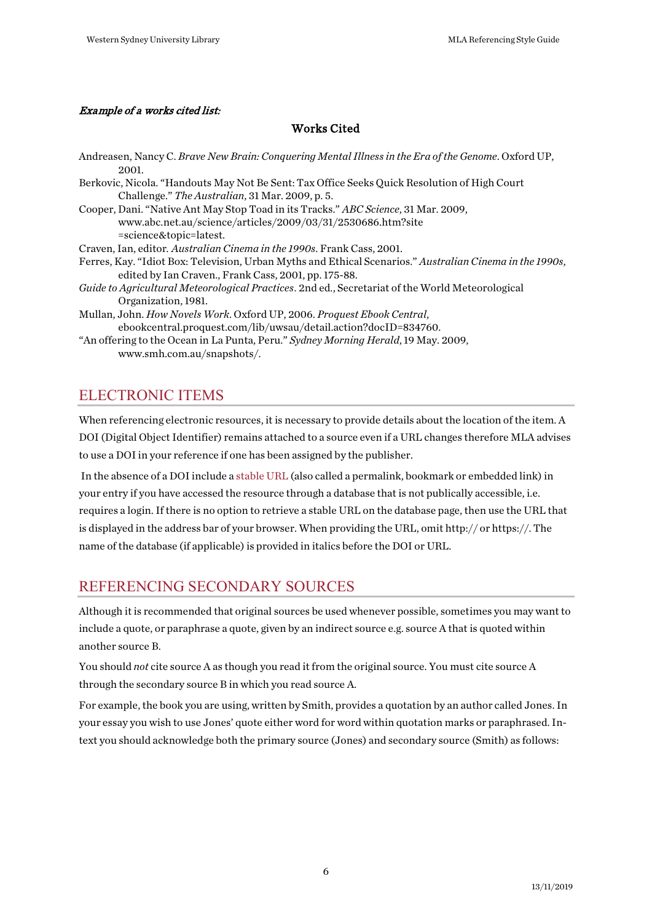#### Example of a works cited list:

#### Works Cited

Andreasen, Nancy C. *Brave New Brain: Conquering Mental Illness in the Era of the Genome*. Oxford UP, 2001. Berkovic, Nicola. "Handouts May Not Be Sent: Tax Office Seeks Quick Resolution of High Court Challenge." *The Australian*, 31 Mar. 2009, p. 5. Cooper, Dani. "Native Ant May Stop Toad in its Tracks." *ABC Science*, 31 Mar. 2009, www.abc.net.au/science/articles/2009/03/31/2530686.htm?site =science&topic=latest. Craven, Ian, editor*. Australian Cinema in the 1990s*. Frank Cass, 2001. Ferres, Kay. "Idiot Box: Television, Urban Myths and Ethical Scenarios." *Australian Cinema in the 1990s*, edited by Ian Craven., Frank Cass, 2001, pp. 175-88. *Guide to Agricultural Meteorological Practices*. 2nd ed., Secretariat of the World Meteorological Organization, 1981. Mullan, John. *How Novels Work*. Oxford UP, 2006. *Proquest Ebook Central*, ebookcentral.proquest.com/lib/uwsau/detail.action?docID=834760.

"An offering to the Ocean in La Punta, Peru." *Sydney Morning Herald*, 19 May. 2009, www.smh.com.au/snapshots/.

# <span id="page-5-0"></span>ELECTRONIC ITEMS

When referencing electronic resources, it is necessary to provide details about the location of the item. A DOI (Digital Object Identifier) remains attached to a source even if a URL changes therefore MLA advises to use a DOI in your reference if one has been assigned by the publisher.

In the absence of a DOI include a [stable URL](http://library.westernsydney.edu.au/main/guides/using-library-resources) (also called a permalink, bookmark or embedded link) in your entry if you have accessed the resource through a database that is not publically accessible, i.e. requires a login. If there is no option to retrieve a stable URL on the database page, then use the URL that is displayed in the address bar of your browser. When providing the URL, omit http:// or https://. The name of the database (if applicable) is provided in italics before the DOI or URL.

# <span id="page-5-1"></span>REFERENCING SECONDARY SOURCES

Although it is recommended that original sources be used whenever possible, sometimes you may want to include a quote, or paraphrase a quote, given by an indirect source e.g. source A that is quoted within another source B.

You should *not* cite source A as though you read it from the original source. You must cite source A through the secondary source B in which you read source A.

For example, the book you are using, written by Smith, provides a quotation by an author called Jones. In your essay you wish to use Jones' quote either word for word within quotation marks or paraphrased. Intext you should acknowledge both the primary source (Jones) and secondary source (Smith) as follows: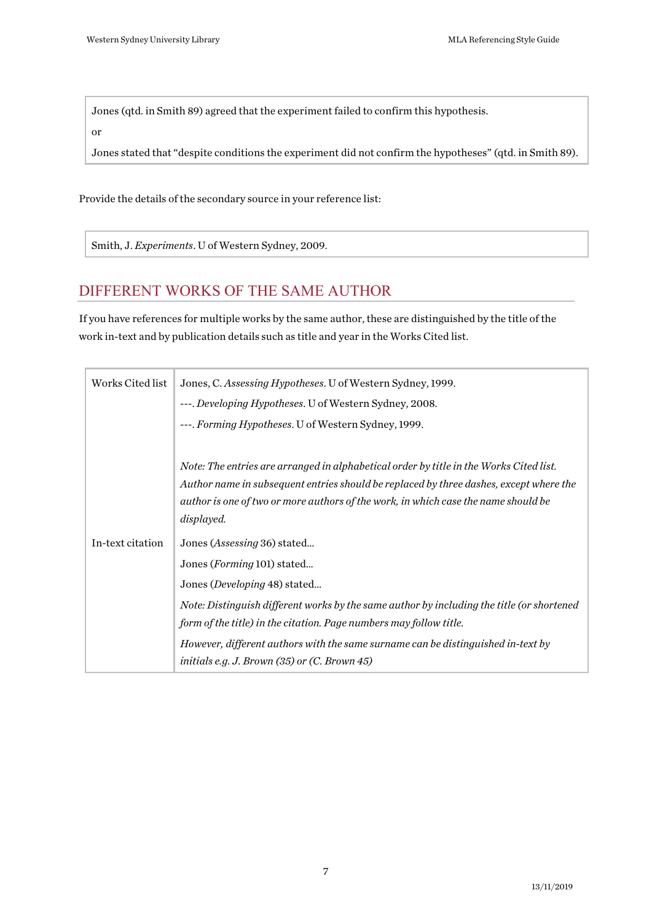Jones (qtd. in Smith 89) agreed that the experiment failed to confirm this hypothesis.

or

Jones stated that "despite conditions the experiment did not confirm the hypotheses" (qtd. in Smith 89).

Provide the details of the secondary source in your reference list:

Smith, J. *Experiments*. U of Western Sydney, 2009.

# <span id="page-6-0"></span>DIFFERENT WORKS OF THE SAME AUTHOR

If you have references for multiple works by the same author, these are distinguished by the title of the work in-text and by publication details such as title and year in the Works Cited list.

| Works Cited list | Jones, C. Assessing Hypotheses. U of Western Sydney, 1999.                                |
|------------------|-------------------------------------------------------------------------------------------|
|                  | ---. Developing Hypotheses. U of Western Sydney, 2008.                                    |
|                  | ---. Forming Hypotheses. U of Western Sydney, 1999.                                       |
|                  |                                                                                           |
|                  | Note: The entries are arranged in alphabetical order by title in the Works Cited list.    |
|                  | Author name in subsequent entries should be replaced by three dashes, except where the    |
|                  | author is one of two or more authors of the work, in which case the name should be        |
|                  | displayed.                                                                                |
| In-text citation | Jones (Assessing 36) stated                                                               |
|                  | Jones (Forming 101) stated                                                                |
|                  | Jones ( <i>Developing</i> 48) stated                                                      |
|                  | Note: Distinguish different works by the same author by including the title (or shortened |
|                  | form of the title) in the citation. Page numbers may follow title.                        |
|                  | However, different authors with the same surname can be distinguished in-text by          |
|                  | initials e.g. J. Brown $(35)$ or $(C.$ Brown 45)                                          |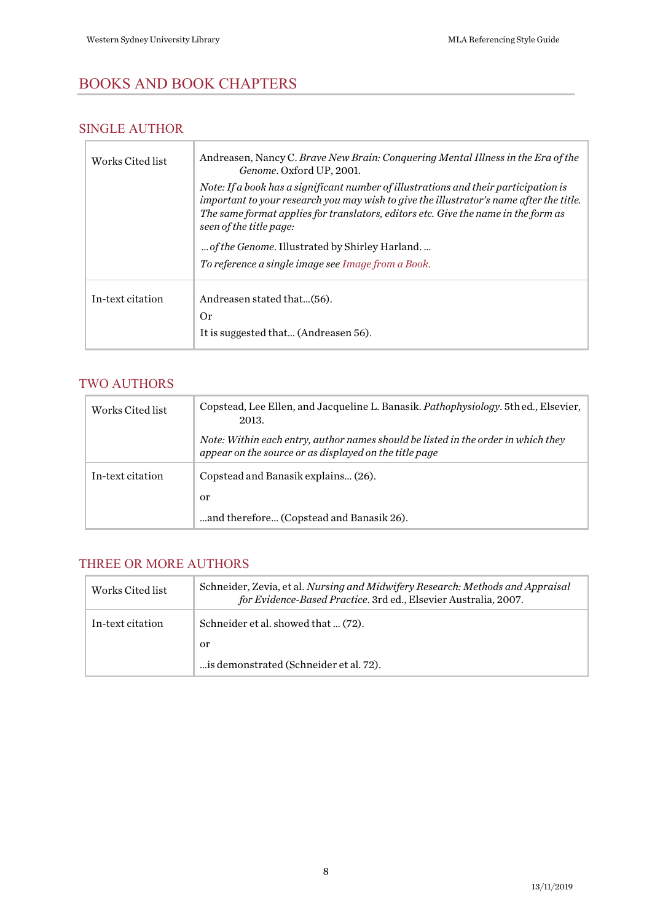# <span id="page-7-0"></span>BOOKS AND BOOK CHAPTERS

### <span id="page-7-1"></span>SINGLE AUTHOR

| Works Cited list | Andreasen, Nancy C. Brave New Brain: Conquering Mental Illness in the Era of the<br>Genome. Oxford UP, 2001.                                                                                                                                                                                     |
|------------------|--------------------------------------------------------------------------------------------------------------------------------------------------------------------------------------------------------------------------------------------------------------------------------------------------|
|                  | Note: If a book has a significant number of illustrations and their participation is<br>important to your research you may wish to give the illustrator's name after the title.<br>The same format applies for translators, editors etc. Give the name in the form as<br>seen of the title page: |
|                  | of the Genome. Illustrated by Shirley Harland.                                                                                                                                                                                                                                                   |
|                  | To reference a single image see Image from a Book.                                                                                                                                                                                                                                               |
| In-text citation | Andreasen stated that(56).<br>0r                                                                                                                                                                                                                                                                 |
|                  | It is suggested that (Andreasen 56).                                                                                                                                                                                                                                                             |
|                  |                                                                                                                                                                                                                                                                                                  |

#### <span id="page-7-2"></span>TWO AUTHORS

| Works Cited list | Copstead, Lee Ellen, and Jacqueline L. Banasik. <i>Pathophysiology</i> . 5th ed., Elsevier,<br>2013.                                        |
|------------------|---------------------------------------------------------------------------------------------------------------------------------------------|
|                  | Note: Within each entry, author names should be listed in the order in which they<br>appear on the source or as displayed on the title page |
| In-text citation | Copstead and Banasik explains (26).                                                                                                         |
|                  | or                                                                                                                                          |
|                  | and therefore (Copstead and Banasik 26).                                                                                                    |

#### <span id="page-7-3"></span>THREE OR MORE AUTHORS

| Works Cited list | Schneider, Zevia, et al. Nursing and Midwifery Research: Methods and Appraisal<br>for Evidence-Based Practice. 3rd ed., Elsevier Australia, 2007. |
|------------------|---------------------------------------------------------------------------------------------------------------------------------------------------|
| In-text citation | Schneider et al. showed that  (72).                                                                                                               |
|                  | or                                                                                                                                                |
|                  | is demonstrated (Schneider et al. 72).                                                                                                            |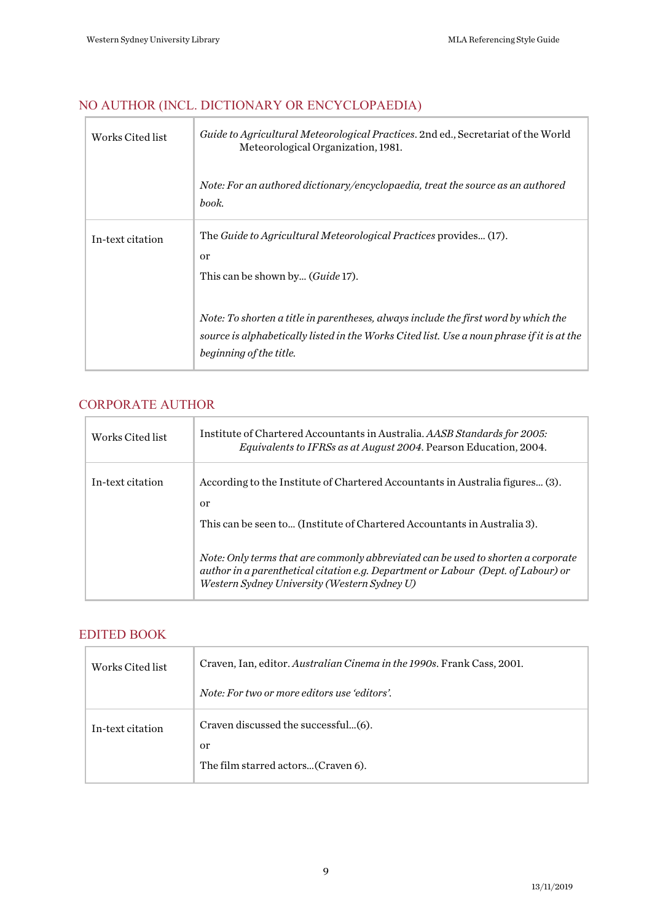# <span id="page-8-0"></span>NO AUTHOR (INCL. DICTIONARY OR ENCYCLOPAEDIA)

| Works Cited list | <i>Guide to Agricultural Meteorological Practices.</i> 2nd ed., Secretariat of the World<br>Meteorological Organization, 1981.                                                                               |
|------------------|--------------------------------------------------------------------------------------------------------------------------------------------------------------------------------------------------------------|
|                  | Note: For an authored dictionary/encyclopaedia, treat the source as an authored<br>book.                                                                                                                     |
| In-text citation | The Guide to Agricultural Meteorological Practices provides (17).<br><sub>or</sub><br>This can be shown by ( <i>Guide</i> 17).                                                                               |
|                  | Note: To shorten a title in parentheses, always include the first word by which the<br>source is alphabetically listed in the Works Cited list. Use a noun phrase if it is at the<br>beginning of the title. |

# <span id="page-8-1"></span>CORPORATE AUTHOR

| Works Cited list | Institute of Chartered Accountants in Australia. AASB Standards for 2005:<br>Equivalents to IFRSs as at August 2004. Pearson Education, 2004.                                                                          |
|------------------|------------------------------------------------------------------------------------------------------------------------------------------------------------------------------------------------------------------------|
| In-text citation | According to the Institute of Chartered Accountants in Australia figures (3).<br>or                                                                                                                                    |
|                  | This can be seen to (Institute of Chartered Accountants in Australia 3).                                                                                                                                               |
|                  | Note: Only terms that are commonly abbreviated can be used to shorten a corporate<br>author in a parenthetical citation e.g. Department or Labour (Dept. of Labour) or<br>Western Sydney University (Western Sydney U) |

#### <span id="page-8-2"></span>EDITED BOOK

| Works Cited list | Craven, Ian, editor. Australian Cinema in the 1990s. Frank Cass, 2001.          |
|------------------|---------------------------------------------------------------------------------|
|                  | Note: For two or more editors use 'editors'.                                    |
| In-text citation | Craven discussed the successful(6).<br>or<br>The film starred actors(Craven 6). |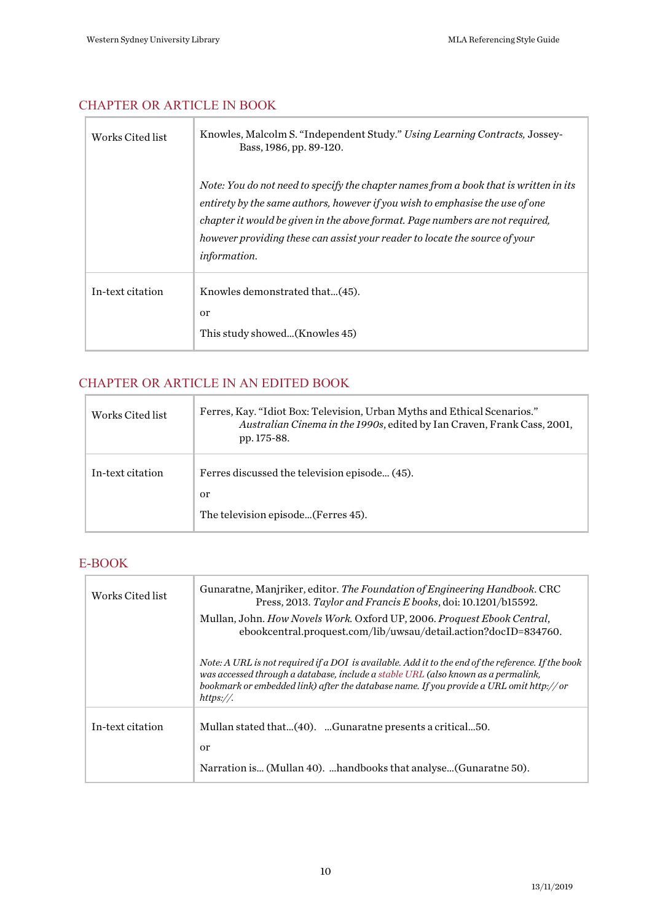# <span id="page-9-0"></span>CHAPTER OR ARTICLE IN BOOK

| Works Cited list | Knowles, Malcolm S. "Independent Study." Using Learning Contracts, Jossey-<br>Bass, 1986, pp. 89-120.                                                                                                                                                                                                                                                         |
|------------------|---------------------------------------------------------------------------------------------------------------------------------------------------------------------------------------------------------------------------------------------------------------------------------------------------------------------------------------------------------------|
|                  | Note: You do not need to specify the chapter names from a book that is written in its<br>entirety by the same authors, however if you wish to emphasise the use of one<br>chapter it would be given in the above format. Page numbers are not required,<br>however providing these can assist your reader to locate the source of your<br><i>information.</i> |
| In-text citation | Knowles demonstrated that(45).<br><sub>or</sub><br>This study showed(Knowles 45)                                                                                                                                                                                                                                                                              |

#### <span id="page-9-1"></span>CHAPTER OR ARTICLE IN AN EDITED BOOK  $\mathbb{R}^2$

| Works Cited list | Ferres, Kay. "Idiot Box: Television, Urban Myths and Ethical Scenarios."<br>Australian Cinema in the 1990s, edited by Ian Craven, Frank Cass, 2001,<br>pp. 175-88. |
|------------------|--------------------------------------------------------------------------------------------------------------------------------------------------------------------|
| In-text citation | Ferres discussed the television episode (45).<br>or<br>The television episode (Ferres 45).                                                                         |

## <span id="page-9-2"></span>E-BOOK

| Works Cited list | Gunaratne, Manjriker, editor. The Foundation of Engineering Handbook. CRC<br>Press, 2013. Taylor and Francis E books, doi: 10.1201/b15592.                                                                                                                                                       |
|------------------|--------------------------------------------------------------------------------------------------------------------------------------------------------------------------------------------------------------------------------------------------------------------------------------------------|
|                  | Mullan, John. How Novels Work. Oxford UP, 2006. Proquest Ebook Central.<br>ebookcentral.proquest.com/lib/uwsau/detail.action?docID=834760.                                                                                                                                                       |
|                  | Note: A URL is not required if a DOI is available. Add it to the end of the reference. If the book<br>was accessed through a database, include a stable URL (also known as a permalink,<br>bookmark or embedded link) after the database name. If you provide a URL omit http:// or<br>https://. |
| In-text citation | Mullan stated that(40). Gunaratne presents a critical50.<br>or<br>Narration is (Mullan 40). handbooks that analyse (Gunaratne 50).                                                                                                                                                               |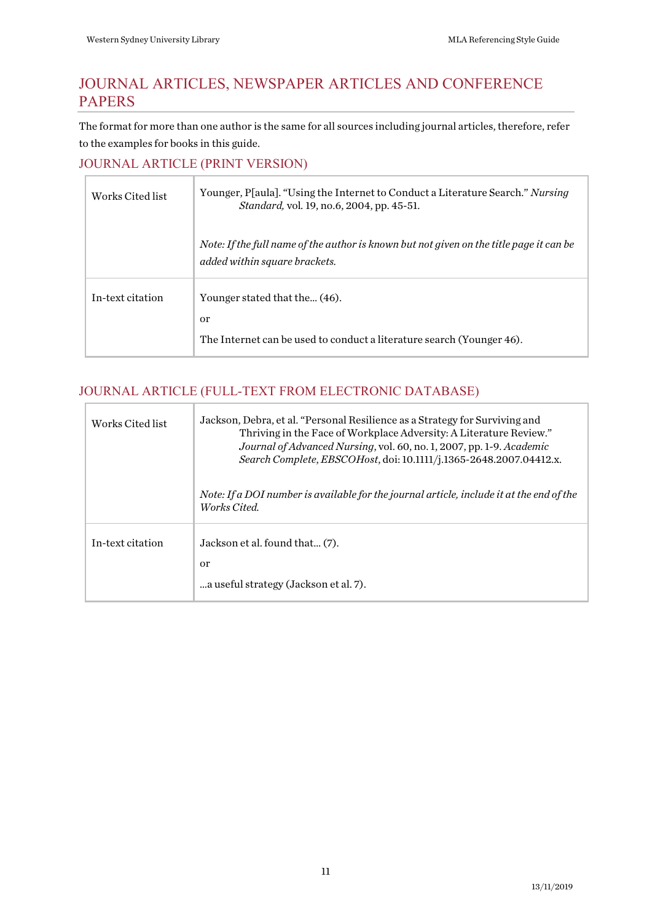# <span id="page-10-0"></span>JOURNAL ARTICLES, NEWSPAPER ARTICLES AND CONFERENCE PAPERS

The format for more than one author is the same for all sources including journal articles, therefore, refer to the examples for books in this guide.

#### <span id="page-10-1"></span>JOURNAL ARTICLE (PRINT VERSION)

| Works Cited list | Younger, P[aula]. "Using the Internet to Conduct a Literature Search." <i>Nursing</i><br>Standard, vol. 19, no.6, 2004, pp. 45-51. |
|------------------|------------------------------------------------------------------------------------------------------------------------------------|
|                  | Note: If the full name of the author is known but not given on the title page it can be<br>added within square brackets.           |
| In-text citation | Younger stated that the (46).<br>or<br>The Internet can be used to conduct a literature search (Younger 46).                       |

### <span id="page-10-2"></span>JOURNAL ARTICLE (FULL-TEXT FROM ELECTRONIC DATABASE)

| Works Cited list | Jackson, Debra, et al. "Personal Resilience as a Strategy for Surviving and<br>Thriving in the Face of Workplace Adversity: A Literature Review."<br>Journal of Advanced Nursing, vol. 60, no. 1, 2007, pp. 1-9. Academic<br>Search Complete, EBSCOHost, doi: 10.1111/j.1365-2648.2007.04412.x. |
|------------------|-------------------------------------------------------------------------------------------------------------------------------------------------------------------------------------------------------------------------------------------------------------------------------------------------|
|                  | Note: If a DOI number is available for the journal article, include it at the end of the<br>Works Cited.                                                                                                                                                                                        |
| In-text citation | Jackson et al. found that (7).<br>or<br>a useful strategy (Jackson et al. 7).                                                                                                                                                                                                                   |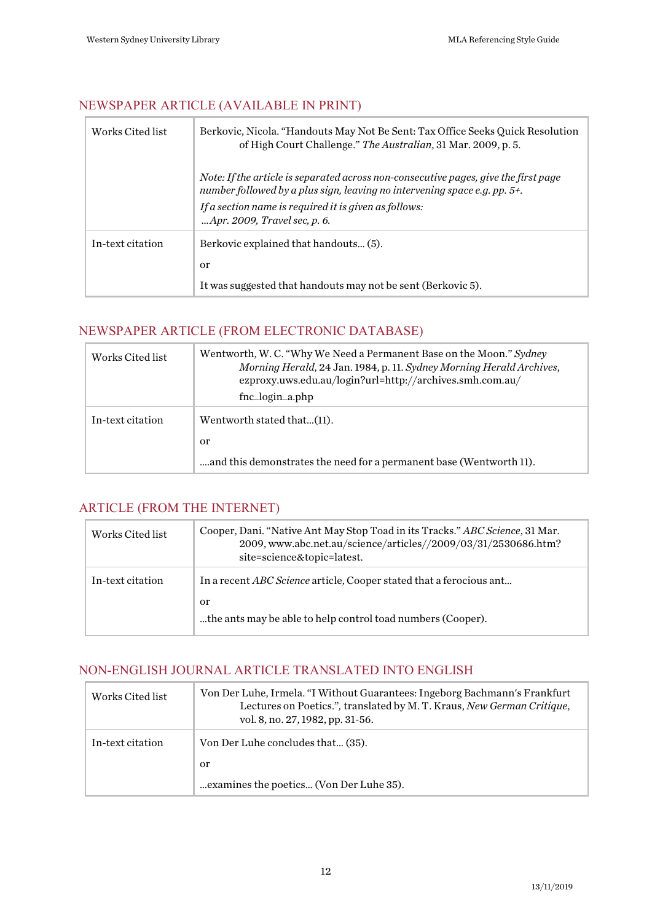### <span id="page-11-0"></span>NEWSPAPER ARTICLE (AVAILABLE IN PRINT)

| Works Cited list | Berkovic, Nicola. "Handouts May Not Be Sent: Tax Office Seeks Quick Resolution<br>of High Court Challenge." The Australian, 31 Mar. 2009, p. 5.                                                                                                                  |
|------------------|------------------------------------------------------------------------------------------------------------------------------------------------------------------------------------------------------------------------------------------------------------------|
|                  | Note: If the article is separated across non-consecutive pages, give the first page<br>number followed by a plus sign, leaving no intervening space e.g. pp. 5+.<br>If a section name is required it is given as follows:<br><i>Apr.</i> 2009, Travel sec, p. 6. |
| In-text citation | Berkovic explained that handouts (5).<br><sub>or</sub><br>It was suggested that handouts may not be sent (Berkovic 5).                                                                                                                                           |

# <span id="page-11-1"></span>NEWSPAPER ARTICLE (FROM ELECTRONIC DATABASE)

| Works Cited list | Wentworth, W. C. "Why We Need a Permanent Base on the Moon." Sydney<br>Morning Herald, 24 Jan. 1984, p. 11. Sydney Morning Herald Archives,<br>ezproxy.uws.edu.au/login?url=http://archives.smh.com.au/<br>fnc_login_a.php |
|------------------|----------------------------------------------------------------------------------------------------------------------------------------------------------------------------------------------------------------------------|
| In-text citation | Wentworth stated that(11).                                                                                                                                                                                                 |
|                  | <sub>or</sub><br>and this demonstrates the need for a permanent base (Wentworth 11).                                                                                                                                       |

#### <span id="page-11-2"></span>ARTICLE (FROM THE INTERNET)

| Works Cited list | Cooper, Dani. "Native Ant May Stop Toad in its Tracks." ABC Science, 31 Mar.<br>2009, www.abc.net.au/science/articles//2009/03/31/2530686.htm?<br>site=science&topic=latest. |
|------------------|------------------------------------------------------------------------------------------------------------------------------------------------------------------------------|
| In-text citation | In a recent ABC Science article, Cooper stated that a ferocious ant                                                                                                          |
|                  | or<br>the ants may be able to help control toad numbers (Cooper).                                                                                                            |

# <span id="page-11-3"></span>NON-ENGLISH JOURNAL ARTICLE TRANSLATED INTO ENGLISH

| Works Cited list | Von Der Luhe, Irmela. "I Without Guarantees: Ingeborg Bachmann's Frankfurt<br>Lectures on Poetics.", translated by M.T. Kraus, New German Critique,<br>vol. 8, no. 27, 1982, pp. 31-56. |
|------------------|-----------------------------------------------------------------------------------------------------------------------------------------------------------------------------------------|
| In-text citation | Von Der Luhe concludes that (35).                                                                                                                                                       |
|                  | <sub>or</sub>                                                                                                                                                                           |
|                  | examines the poetics (Von Der Luhe 35).                                                                                                                                                 |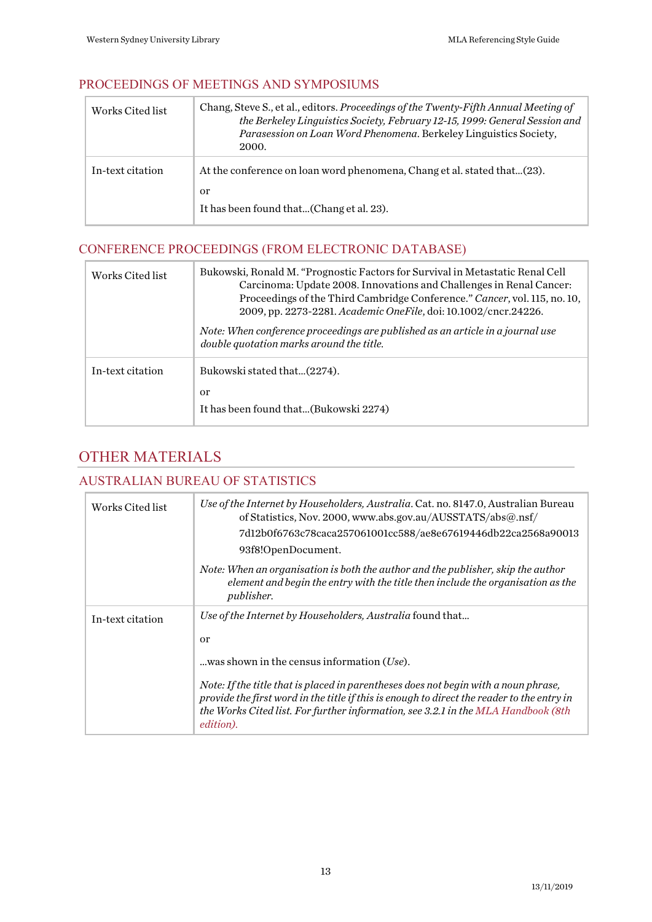#### <span id="page-12-0"></span>PROCEEDINGS OF MEETINGS AND SYMPOSIUMS

| Works Cited list | Chang, Steve S., et al., editors. Proceedings of the Twenty-Fifth Annual Meeting of<br>the Berkeley Linguistics Society, February 12-15, 1999: General Session and<br>Parasession on Loan Word Phenomena. Berkeley Linguistics Society,<br>2000. |
|------------------|--------------------------------------------------------------------------------------------------------------------------------------------------------------------------------------------------------------------------------------------------|
| In-text citation | At the conference on loan word phenomena, Chang et al. stated that(23).<br>or<br>It has been found that(Chang et al. 23).                                                                                                                        |

# <span id="page-12-1"></span>CONFERENCE PROCEEDINGS (FROM ELECTRONIC DATABASE)

| Works Cited list | Bukowski, Ronald M. "Prognostic Factors for Survival in Metastatic Renal Cell<br>Carcinoma: Update 2008. Innovations and Challenges in Renal Cancer:<br>Proceedings of the Third Cambridge Conference." Cancer, vol. 115, no. 10,<br>2009, pp. 2273-2281. Academic OneFile, doi: 10.1002/cncr.24226.<br>Note: When conference proceedings are published as an article in a journal use<br>double quotation marks around the title. |
|------------------|------------------------------------------------------------------------------------------------------------------------------------------------------------------------------------------------------------------------------------------------------------------------------------------------------------------------------------------------------------------------------------------------------------------------------------|
| In-text citation | Bukowski stated that(2274).<br>or<br>It has been found that(Bukowski 2274)                                                                                                                                                                                                                                                                                                                                                         |

# <span id="page-12-2"></span>OTHER MATERIALS

#### <span id="page-12-3"></span>AUSTRALIAN BUREAU OF STATISTICS

| Works Cited list | Use of the Internet by Householders, Australia. Cat. no. 8147.0, Australian Bureau<br>of Statistics, Nov. 2000, www.abs.gov.au/AUSSTATS/abs@.nsf/<br>7d12b0f6763c78caca257061001cc588/ae8e67619446db22ca2568a90013<br>93f8!OpenDocument. |
|------------------|------------------------------------------------------------------------------------------------------------------------------------------------------------------------------------------------------------------------------------------|
|                  | Note: When an organisation is both the author and the publisher, skip the author<br>element and begin the entry with the title then include the organisation as the<br>publisher.                                                        |
| In-text citation | Use of the Internet by Householders, Australia found that<br>$\alpha$<br>was shown in the census information $(Use)$ .<br>Note: If the title that is placed in parentheses does not begin with a noun phrase,                            |
|                  | provide the first word in the title if this is enough to direct the reader to the entry in<br>the Works Cited list. For further information, see 3.2.1 in the MLA Handbook (8th<br><i>edition</i> ).                                     |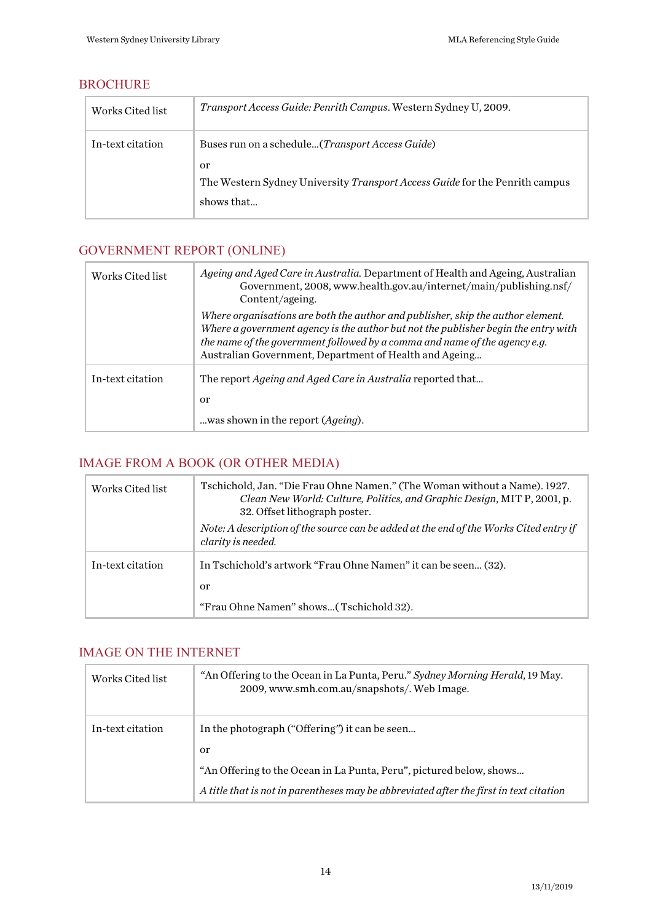#### <span id="page-13-0"></span>**BROCHURE**

| Works Cited list | <i>Transport Access Guide: Penrith Campus.</i> Western Sydney U, 2009.      |
|------------------|-----------------------------------------------------------------------------|
| In-text citation | Buses run on a schedule( <i>Transport Access Guide</i> )                    |
|                  | or                                                                          |
|                  | The Western Sydney University Transport Access Guide for the Penrith campus |
|                  | shows that                                                                  |

# <span id="page-13-1"></span>GOVERNMENT REPORT (ONLINE)

| Works Cited list | Ageing and Aged Care in Australia. Department of Health and Ageing, Australian<br>Government, 2008, www.health.gov.au/internet/main/publishing.nsf/<br>Content/ageing.                                                                                                                                        |
|------------------|---------------------------------------------------------------------------------------------------------------------------------------------------------------------------------------------------------------------------------------------------------------------------------------------------------------|
|                  | Where organisations are both the author and publisher, skip the author element.<br>Where a government agency is the author but not the publisher begin the entry with<br>the name of the government followed by a comma and name of the agency e.g.<br>Australian Government, Department of Health and Ageing |
| In-text citation | The report <i>Ageing and Aged Care in Australia</i> reported that<br>or<br>was shown in the report ( <i>Ageing</i> ).                                                                                                                                                                                         |

# <span id="page-13-4"></span><span id="page-13-2"></span>IMAGE FROM A BOOK (OR OTHER MEDIA)

| Works Cited list | Tschichold, Jan. "Die Frau Ohne Namen." (The Woman without a Name). 1927.<br>Clean New World: Culture, Politics, and Graphic Design, MIT P, 2001, p.<br>32. Offset lithograph poster. |
|------------------|---------------------------------------------------------------------------------------------------------------------------------------------------------------------------------------|
|                  | Note: A description of the source can be added at the end of the Works Cited entry if<br>clarity is needed.                                                                           |
| In-text citation | In Tschichold's artwork "Frau Ohne Namen" it can be seen (32).<br>or                                                                                                                  |
|                  | "Frau Ohne Namen" shows(Tschichold 32).                                                                                                                                               |

#### <span id="page-13-3"></span>IMAGE ON THE INTERNET

| Works Cited list | "An Offering to the Ocean in La Punta, Peru." Sydney Morning Herald, 19 May.<br>2009, www.smh.com.au/snapshots/. Web Image. |
|------------------|-----------------------------------------------------------------------------------------------------------------------------|
| In-text citation | In the photograph ("Offering") it can be seen                                                                               |
|                  | <sub>or</sub>                                                                                                               |
|                  | "An Offering to the Ocean in La Punta, Peru", pictured below, shows                                                         |
|                  | A title that is not in parentheses may be abbreviated after the first in text citation                                      |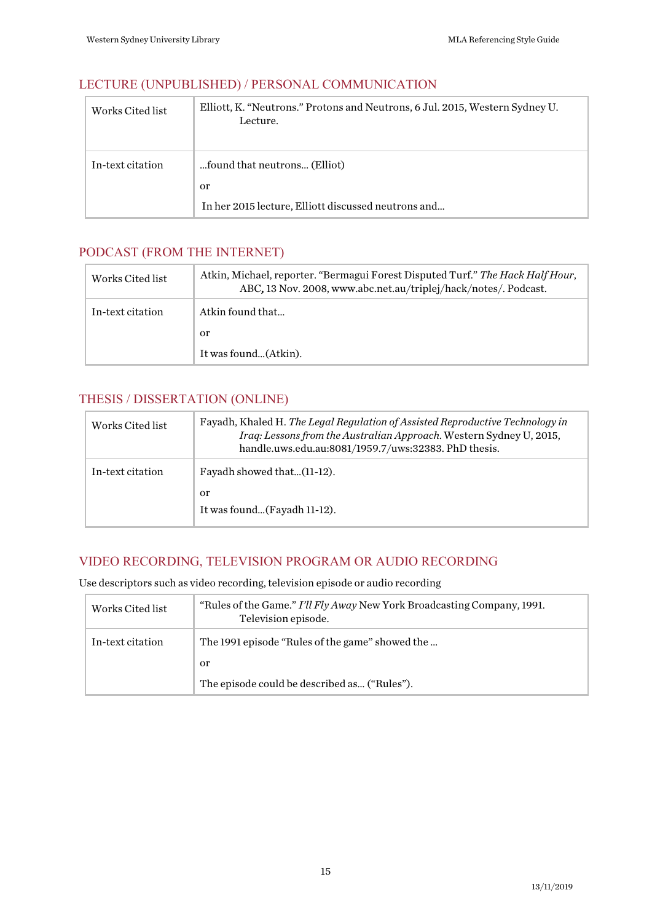### <span id="page-14-0"></span>LECTURE (UNPUBLISHED) / PERSONAL COMMUNICATION

| Works Cited list | Elliott, K. "Neutrons." Protons and Neutrons, 6 Jul. 2015, Western Sydney U.<br>Lecture. |
|------------------|------------------------------------------------------------------------------------------|
| In-text citation | found that neutrons (Elliot)                                                             |
|                  | or                                                                                       |
|                  | In her 2015 lecture, Elliott discussed neutrons and                                      |

### <span id="page-14-1"></span>PODCAST (FROM THE INTERNET)

| Works Cited list | Atkin, Michael, reporter. "Bermagui Forest Disputed Turf." The Hack Half Hour,<br>ABC, 13 Nov. 2008, www.abc.net.au/triplej/hack/notes/. Podcast. |
|------------------|---------------------------------------------------------------------------------------------------------------------------------------------------|
| In-text citation | Atkin found that                                                                                                                                  |
|                  | 0r                                                                                                                                                |
|                  | It was found(Atkin).                                                                                                                              |

# <span id="page-14-2"></span>THESIS / DISSERTATION (ONLINE)

| Works Cited list | Fayadh, Khaled H. The Legal Regulation of Assisted Reproductive Technology in<br>Iraq: Lessons from the Australian Approach. Western Sydney U, 2015,<br>handle.uws.edu.au:8081/1959.7/uws:32383. PhD thesis. |
|------------------|--------------------------------------------------------------------------------------------------------------------------------------------------------------------------------------------------------------|
| In-text citation | Fayadh showed that(11-12).                                                                                                                                                                                   |
|                  | or                                                                                                                                                                                                           |
|                  | It was found(Fayadh 11-12).                                                                                                                                                                                  |

### <span id="page-14-3"></span>VIDEO RECORDING, TELEVISION PROGRAM OR AUDIO RECORDING

Use descriptors such as video recording, television episode or audio recording

| Works Cited list | "Rules of the Game." I'll Fly Away New York Broadcasting Company, 1991.<br>Television episode. |
|------------------|------------------------------------------------------------------------------------------------|
| In-text citation | The 1991 episode "Rules of the game" showed the                                                |
|                  | or                                                                                             |
|                  | The episode could be described as ("Rules").                                                   |